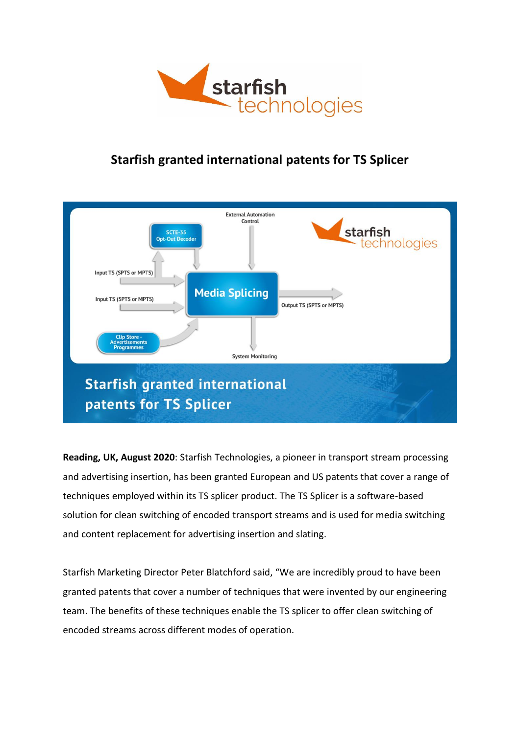

## **Starfish granted international patents for TS Splicer**



**Reading, UK, August 2020**: Starfish Technologies, a pioneer in transport stream processing and advertising insertion, has been granted European and US patents that cover a range of techniques employed within its TS splicer product. The TS Splicer is a software-based solution for clean switching of encoded transport streams and is used for media switching and content replacement for advertising insertion and slating.

Starfish Marketing Director Peter Blatchford said, "We are incredibly proud to have been granted patents that cover a number of techniques that were invented by our engineering team. The benefits of these techniques enable the TS splicer to offer clean switching of encoded streams across different modes of operation.